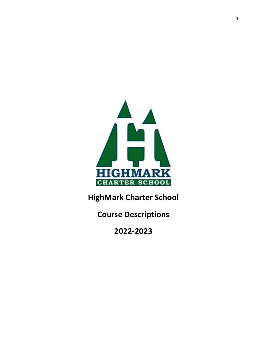

**HighMark Charter School** 

**Course Descriptions** 

**2022-2023**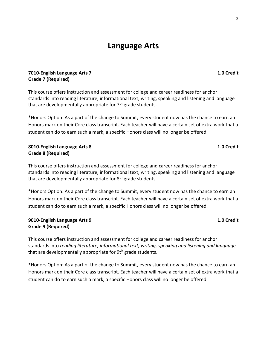# **Language Arts**

### **7010-English Language Arts 7 1.0 Credit Grade 7 (Required)**

This course offers instruction and assessment for college and career readiness for anchor standards into reading literature, informational text, writing, speaking and listening and language that are developmentally appropriate for  $7<sup>th</sup>$  grade students.

\*Honors Option: As a part of the change to Summit, every student now has the chance to earn an Honors mark on their Core class transcript. Each teacher will have a certain set of extra work that a student can do to earn such a mark, a specific Honors class will no longer be offered.

### **8010-English Language Arts 8 1.0 Credit Grade 8 (Required)**

This course offers instruction and assessment for college and career readiness for anchor standards into reading literature, informational text, writing, speaking and listening and language that are developmentally appropriate for  $8<sup>th</sup>$  grade students.

\*Honors Option: As a part of the change to Summit, every student now has the chance to earn an Honors mark on their Core class transcript. Each teacher will have a certain set of extra work that a student can do to earn such a mark, a specific Honors class will no longer be offered.

#### **9010-English Language Arts 9 1.0 Credit Grade 9 (Required)**

This course offers instruction and assessment for college and career readiness for anchor standards into *reading literature, informational text, writing, speaking and listening and language*  that are developmentally appropriate for  $9t<sup>h</sup>$  grade students.

\*Honors Option: As a part of the change to Summit, every student now has the chance to earn an Honors mark on their Core class transcript. Each teacher will have a certain set of extra work that a student can do to earn such a mark, a specific Honors class will no longer be offered.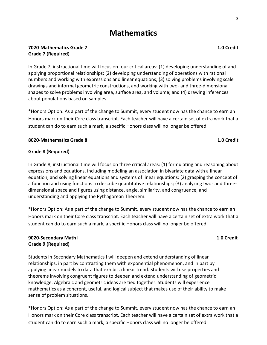# **Mathematics**

### **7020-Mathematics Grade 7 1.0 Credit Grade 7 (Required)**

In Grade 7, instructional time will focus on four critical areas: (1) developing understanding of and applying proportional relationships; (2) developing understanding of operations with rational numbers and working with expressions and linear equations; (3) solving problems involving scale drawings and informal geometric constructions, and working with two- and three-dimensional shapes to solve problems involving area, surface area, and volume; and (4) drawing inferences about populations based on samples.

\*Honors Option: As a part of the change to Summit, every student now has the chance to earn an Honors mark on their Core class transcript. Each teacher will have a certain set of extra work that a student can do to earn such a mark, a specific Honors class will no longer be offered.

#### **8020-Mathematics Grade 8 1.0 Credit**

### **Grade 8 (Required)**

In Grade 8, instructional time will focus on three critical areas: (1) formulating and reasoning about expressions and equations, including modeling an association in bivariate data with a linear equation, and solving linear equations and systems of linear equations; (2) grasping the concept of a function and using functions to describe quantitative relationships; (3) analyzing two- and threedimensional space and figures using distance, angle, similarity, and congruence, and understanding and applying the Pythagorean Theorem.

\*Honors Option: As a part of the change to Summit, every student now has the chance to earn an Honors mark on their Core class transcript. Each teacher will have a certain set of extra work that a student can do to earn such a mark, a specific Honors class will no longer be offered.

### **9020-Secondary Math I 1.0 Credit Grade 9 (Required)**

Students in Secondary Mathematics I will deepen and extend understanding of linear relationships, in part by contrasting them with exponential phenomenon, and in part by applying linear models to data that exhibit a linear trend. Students will use properties and theorems involving congruent figures to deepen and extend understanding of geometric knowledge. Algebraic and geometric ideas are tied together. Students will experience mathematics as a coherent, useful, and logical subject that makes use of their ability to make sense of problem situations.

\*Honors Option: As a part of the change to Summit, every student now has the chance to earn an Honors mark on their Core class transcript. Each teacher will have a certain set of extra work that a student can do to earn such a mark, a specific Honors class will no longer be offered.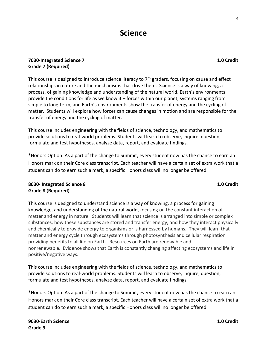## **7030-Integrated Science 7 1.0 Credit Grade 7 (Required)**

This course is designed to introduce science literacy to  $7<sup>th</sup>$  graders, focusing on cause and effect relationships in nature and the mechanisms that drive them. Science is a way of knowing, a process, of gaining knowledge and understanding of the natural world. Earth's environments provide the conditions for life as we know it – forces within our planet, systems ranging from simple to long-term, and Earth's environments show the transfer of energy and the cycling of matter. Students will explore how forces can cause changes in motion and are responsible for the transfer of energy and the cycling of matter.

This course includes engineering with the fields of science, technology, and mathematics to provide solutions to real-world problems. Students will learn to observe, inquire, question, formulate and test hypotheses, analyze data, report, and evaluate findings.

\*Honors Option: As a part of the change to Summit, every student now has the chance to earn an Honors mark on their Core class transcript. Each teacher will have a certain set of extra work that a student can do to earn such a mark, a specific Honors class will no longer be offered.

### **8030- Integrated Science 8 1.0 Credit Grade 8 (Required)**

This course is designed to understand science is a way of knowing, a process for gaining knowledge, and understanding of the natural world, focusing on the constant interaction of matter and energy in nature. Students will learn that science is arranged into simple or complex substances, how these substances are stored and transfer energy, and how they interact physically and chemically to provide energy to organisms or is harnessed by humans. They will learn that matter and energy cycle through ecosystems through photosynthesis and cellular respiration providing benefits to all life on Earth. Resources on Earth are renewable and nonrenewable. Evidence shows that Earth is constantly changing affecting ecosystems and life in positive/negative ways.

This course includes engineering with the fields of science, technology, and mathematics to provide solutions to real-world problems. Students will learn to observe, inquire, question, formulate and test hypotheses, analyze data, report, and evaluate findings.

\*Honors Option: As a part of the change to Summit, every student now has the chance to earn an Honors mark on their Core class transcript. Each teacher will have a certain set of extra work that a student can do to earn such a mark, a specific Honors class will no longer be offered.

4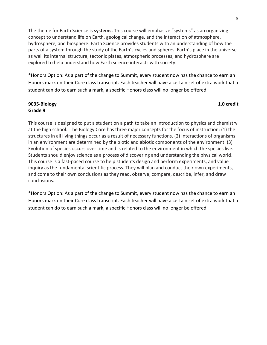The theme for Earth Science is **systems.** This course will emphasize "systems" as an organizing concept to understand life on Earth, geological change, and the interaction of atmosphere, hydrosphere, and biosphere. Earth Science provides students with an understanding of how the parts of a system through the study of the Earth's cycles and spheres. Earth's place in the universe as well its internal structure, tectonic plates, atmospheric processes, and hydrosphere are explored to help understand how Earth science interacts with society.

\*Honors Option: As a part of the change to Summit, every student now has the chance to earn an Honors mark on their Core class transcript. Each teacher will have a certain set of extra work that a student can do to earn such a mark, a specific Honors class will no longer be offered.

#### **9035-Biology 1.0 credit Grade 9**

This course is designed to put a student on a path to take an introduction to physics and chemistry at the high school. The Biology Core has three major concepts for the focus of instruction: (1) the structures in all living things occur as a result of necessary functions. (2) Interactions of organisms in an environment are determined by the biotic and abiotic components of the environment. (3) Evolution of species occurs over time and is related to the environment in which the species live. Students should enjoy science as a process of discovering and understanding the physical world. This course is a fast-paced course to help students design and perform experiments, and value inquiry as the fundamental scientific process. They will plan and conduct their own experiments, and come to their own conclusions as they read, observe, compare, describe, infer, and draw conclusions.

\*Honors Option: As a part of the change to Summit, every student now has the chance to earn an Honors mark on their Core class transcript. Each teacher will have a certain set of extra work that a student can do to earn such a mark, a specific Honors class will no longer be offered.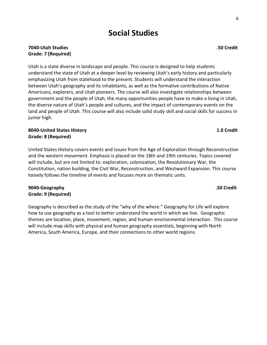# **Social Studies**

### **7040-Utah Studies .50 Credit Grade: 7 (Required)**

Utah is a state diverse in landscape and people. This course is designed to help students understand the state of Utah at a deeper level by reviewing Utah's early history and particularly emphasizing Utah from statehood to the present. Students will understand the interaction between Utah's geography and its inhabitants, as well as the formative contributions of Native Americans, explorers, and Utah pioneers. The course will also investigate relationships between government and the people of Utah, the many opportunities people have to make a living in Utah, the diverse nature of Utah's people and cultures, and the impact of contemporary events on the land and people of Utah. This course will also include solid study skill and social skills for success in junior high.

### **8040-United States History 1.0 Credit Grade: 8 (Required)**

United States History covers events and issues from the Age of Exploration through Reconstruction and the western movement. Emphasis is placed on the 18th and 19th centuries. Topics covered will include, but are not limited to: exploration, colonization, the Revolutionary War, the Constitution, nation building, the Civil War, Reconstruction, and Westward Expansion. This course loosely follows the timeline of events and focuses more on thematic units.

### **9040-Geography .50 Credit Grade: 9 (Required)**

Geography is described as the study of the "why of the where." Geography for Life will explore how to use geography as a tool to better understand the world in which we live. Geographic themes are location, place, movement, region, and human-environmental interaction. This course will include map skills with physical and human geography essentials, beginning with North America, South America, Europe, and their connections to other world regions.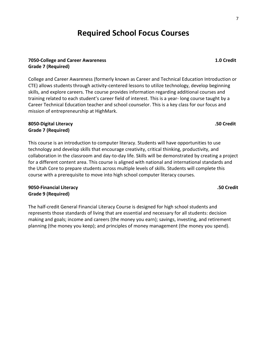# **Required School Focus Courses**

### **7050-College and Career Awareness 1.0 Credit Grade 7 (Required)**

College and Career Awareness (formerly known as Career and Technical Education Introduction or CTE) allows students through activity-centered lessons to utilize technology, develop beginning skills, and explore careers. The course provides information regarding additional courses and training related to each student's career field of interest. This is a year- long course taught by a Career Technical Education teacher and school counselor. This is a key class for our focus and mission of entrepreneurship at HighMark.

### **8050-Digital Literacy .50 Credit Grade 7 (Required)**

This course is an introduction to computer literacy. Students will have opportunities to use technology and develop skills that encourage creativity, critical thinking, productivity, and collaboration in the classroom and day-to-day life. Skills will be demonstrated by creating a project for a different content area. This course is aligned with national and international standards and the Utah Core to prepare students across multiple levels of skills. Students will complete this course with a prerequisite to move into high school computer literacy courses.

# **9050-Financial Literacy .50 Credit Grade 9 (Required)**

The half-credit General Financial Literacy Course is designed for high school students and represents those standards of living that are essential and necessary for all students: decision making and goals; income and careers (the money you earn); savings, investing, and retirement planning (the money you keep); and principles of money management (the money you spend).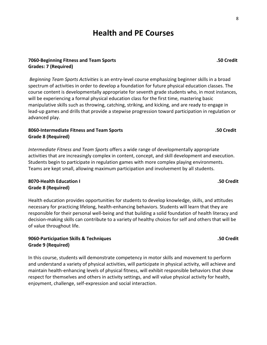# **Health and PE Courses**

### **7060-Beginning Fitness and Team Sports .50 Credit Grades: 7 (Required)**

*Beginning Team Sports Activities* is an entry-level course emphasizing beginner skills in a broad spectrum of activities in order to develop a foundation for future physical education classes. The course content is developmentally appropriate for seventh grade students who, in most instances, will be experiencing a formal physical education class for the first time, mastering basic manipulative skills such as throwing, catching, striking, and kicking, and are ready to engage in lead-up games and drills that provide a stepwise progression toward participation in regulation or advanced play.

### **8060-Intermediate Fitness and Team Sports .50 Credit Grade 8 (Required)**

*Intermediate Fitness and Team Sports* offers a wide range of developmentally appropriate activities that are increasingly complex in content, concept, and skill development and execution. Students begin to participate in regulation games with more complex playing environments. Teams are kept small, allowing maximum participation and involvement by all students.

# **8070-Health Education I .50 Credit Grade 8 (Required)**

Health education provides opportunities for students to develop knowledge, skills, and attitudes necessary for practicing lifelong, health-enhancing behaviors. Students will learn that they are responsible for their personal well-being and that building a solid foundation of health literacy and decision-making skills can contribute to a variety of healthy choices for self and others that will be of value throughout life.

# **9060-Participation Skills & Techniques .50 Credit Grade 9 (Required)**

In this course, students will demonstrate competency in motor skills and movement to perform and understand a variety of physical activities, will participate in physical activity, will achieve and maintain health-enhancing levels of physical fitness, will exhibit responsible behaviors that show respect for themselves and others in activity settings, and will value physical activity for health, enjoyment, challenge, self-expression and social interaction.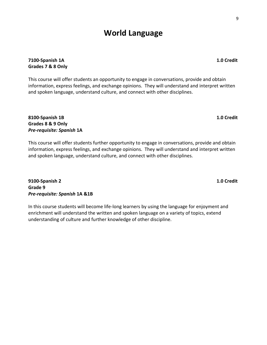# **World Language**

# **7100-Spanish 1A 1.0 Credit Grades 7 & 8 Only**

This course will offer students an opportunity to engage in conversations, provide and obtain information, express feelings, and exchange opinions. They will understand and interpret written and spoken language, understand culture, and connect with other disciplines.

## **8100-Spanish 1B 1.0 Credit Grades 8 & 9 Only** *Pre-requisite: Spanish* **1A**

This course will offer students further opportunity to engage in conversations, provide and obtain information, express feelings, and exchange opinions. They will understand and interpret written and spoken language, understand culture, and connect with other disciplines.

**9100-Spanish 2 1.0 Credit Grade 9** *Pre-requisite: Spanish* **1A &1B**

In this course students will become life-long learners by using the language for enjoyment and enrichment will understand the written and spoken language on a variety of topics, extend understanding of culture and further knowledge of other discipline.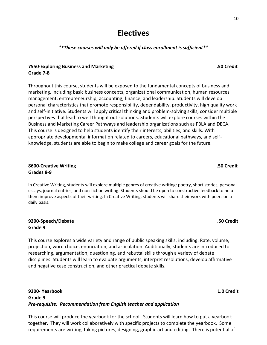# **Electives**

# *\*\*These courses will only be offered if class enrollment is sufficient\*\**

# **7550-Exploring Business and Marketing .50 Credit Grade 7-8**

Throughout this course, students will be exposed to the fundamental concepts of business and marketing, including basic business concepts, organizational communication, human resources management, entrepreneurship, accounting, finance, and leadership. Students will develop personal characteristics that promote responsibility, dependability, productivity, high quality work and self-initiative. Students will apply critical thinking and problem-solving skills, consider multiple perspectives that lead to well thought out solutions. Students will explore courses within the Business and Marketing Career Pathways and leadership organizations such as FBLA and DECA. This course is designed to help students identify their interests, abilities, and skills. With appropriate developmental information related to careers, educational pathways, and selfknowledge, students are able to begin to make college and career goals for the future.

# **8600-Creative Writing .50 Credit Grades 8-9**

In Creative Writing, students will explore multiple genres of creative writing: poetry, short stories, personal essays, journal entries, and non-fiction writing. Students should be open to constructive feedback to help them improve aspects of their writing. In Creative Writing, students will share their work with peers on a daily basis.

### **9200-Speech/Debate .50 Credit Grade 9**

This course explores a wide variety and range of public speaking skills, including: Rate, volume, projection, word choice, enunciation, and articulation. Additionally, students are introduced to researching, argumentation, questioning, and rebuttal skills through a variety of debate disciplines. Students will learn to evaluate arguments, interpret resolutions, develop affirmative and negative case construction, and other practical debate skills.

### **9300- Yearbook 1.0 Credit Grade 9**  *Pre-requisite: Recommendation from English teacher and application*

This course will produce the yearbook for the school. Students will learn how to put a yearbook together. They will work collaboratively with specific projects to complete the yearbook. Some requirements are writing, taking pictures, designing, graphic art and editing. There is potential of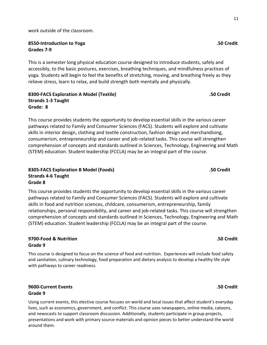work outside of the classroom.

#### **8550-Introduction to Yoga .50 Credit Grades 7-9**

This is a semester long physical education course designed to introduce students, safely and accessibly, to the basic postures, exercises, breathing techniques, and mindfulness practices of yoga. Students will begin to feel the benefits of stretching, moving, and breathing freely as they relieve stress, learn to relax, and build strength both mentally and physically.

### **8300-FACS Exploration A Model (Textile) .50 Credit Strands 1-3 Taught Grade: 8**

This course provides students the opportunity to develop essential skills in the various career pathways related to Family and Consumer Sciences (FACS). Students will explore and cultivate skills in interior design, clothing and textile construction, fashion design and merchandising, consumerism, entrepreneurship and career and job-related tasks. This course will strengthen comprehension of concepts and standards outlined in Sciences, Technology, Engineering and Math (STEM) education. Student leadership (FCCLA) may be an integral part of the course.

# **8305-FACS Exploration B Model (Foods) .50 Credit Strands 4-6 Taught Grade 8**

This course provides students the opportunity to develop essential skills in the various career pathways related to Family and Consumer Sciences (FACS). Students will explore and cultivate skills in food and nutrition sciences, childcare, consumerism, entrepreneurship, family relationships, personal responsibility, and career and job-related tasks. This course will strengthen comprehension of concepts and standards outlined in Sciences, Technology, Engineering and Math (STEM) education. Student leadership (FCCLA) may be an integral part of the course.

### **9700-Food & Nutrition .50 Credit Grade 9**

This course is designed to focus on the science of food and nutrition. Experiences will include food safety and sanitation, culinary technology, food preparation and dietary analysis to develop a healthy life style with pathways to career readiness.

# **9600-Current Events .50 Credit Grade 9**

Using current events, this elective course focuses on world and local issues that affect student's everyday lives, such as economics, government, and conflict. This course uses newspapers, online media, catoons, and newscasts to support classroom discussion. Additionally, students participate in group projects, presentations and work with primary source materials and opinion pieces to better understand the world around them.

11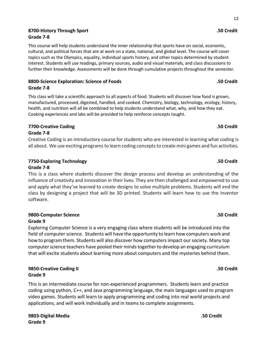# **8700-History Through Sport .50 Credit**

12

This course will help students understand the inner relationship that sports have on social, economic, cultural, and political forces that are at work on a state, national, and global level. The course will cover topics such as the Olympics, equality, individual sports history, and other topics determined by student interest. Students will use readings, primary sources, audio and visual materials, and class discussions to further their knowledge. Assessments will be done through cumulative projects throughout the semester.

### **8800-Science Exploration: Science of Foods .50 Credit Grade 7-8**

This class will take a scientific approach to all aspects of food. Students will discover how food is grown, manufactured, processed, digested, handled, and cooked. Chemistry, biology, technology, ecology, history, health, and nutrition will all be combined to help students understand what, why, and how they eat. Cooking experiences and labs will be provided to help reinforce concepts taught.

### **7700-Creative Coding .50 Credit**

#### **Grade 7-8**

**Grade 7-8**

Creative Coding is an introductory course for students who are interested in learning what coding is all about. We use exciting programsto learn coding concepts to create mini games and fun activities.

# **7750-Exploring Technology .50 Credit**

#### **Grade 7-8**

This is a class where students discover the design process and develop an understanding of the influence of creativity and innovation in their lives. They are then challenged and empowered to use and apply what they've learned to create designs to solve multiple problems. Students will end the class by designing a project that will be 3D printed. Students will learn how to use the Inventor software.

#### **9800-Computer Science .50 Credit Grade 9**

Exploring Computer Science is a very engaging class where students will be introduced into the field of computer science. Students will have the opportunity to learn how computers work and how to program them. Students will also discover how computers impact our society. Many top computer science teachers have pooled their minds together to develop an engaging curriculum that will excite students about learning more about computers and the mysteries behind them.

### **9850-Creative Coding II .50 Credit Grade 9**

This is an intermediate course for non-experienced programmers. Students learn and practice coding using python, C++, and Java programming language, the main languages used to program video games. Students will learn to apply programming and coding into real world projects and applications, and will work individually and in teams to complete assignments.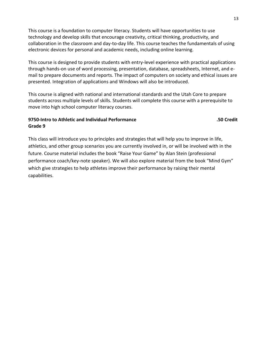This course is a foundation to computer literacy. Students will have opportunities to use technology and develop skills that encourage creativity, critical thinking, productivity, and collaboration in the classroom and day-to-day life. This course teaches the fundamentals of using electronic devices for personal and academic needs, including online learning.

This course is designed to provide students with entry-level experience with practical applications through hands-on use of word processing, presentation, database, spreadsheets, Internet, and email to prepare documents and reports. The impact of computers on society and ethical issues are presented. Integration of applications and Windows will also be introduced.

This course is aligned with national and international standards and the Utah Core to prepare students across multiple levels of skills. Students will complete this course with a prerequisite to move into high school computer literacy courses.

### **9750-Intro to Athletic and Individual Performance .50 Credit Grade 9**

This class will introduce you to principles and strategies that will help you to improve in life, athletics, and other group scenarios you are currently involved in, or will be involved with in the future. Course material includes the book "Raise Your Game" by Alan Stein (professional performance coach/key-note speaker). We will also explore material from the book "Mind Gym" which give strategies to help athletes improve their performance by raising their mental capabilities.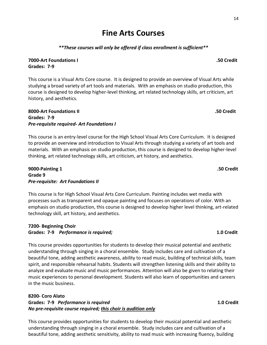# **Fine Arts Courses**

### *\*\*These courses will only be offered if class enrollment is sufficient\*\**

**7000-Art Foundations I .50 Credit Grades: 7-9**

This course is a Visual Arts Core course. It is designed to provide an overview of Visual Arts while studying a broad variety of art tools and materials. With an emphasis on studio production, this course is designed to develop higher-level thinking, art related technology skills, art criticism, art history, and aesthetics.

### **8000-Art Foundations II .50 Credit Grades: 7-9** *Pre-requisite required- Art Foundations I*

This course is an entry-level course for the High School Visual Arts Core Curriculum. It is designed to provide an overview and introduction to Visual Arts through studying a variety of art tools and materials. With an emphasis on studio production, this course is designed to develop higher-level thinking, art related technology skills, art criticism, art history, and aesthetics.

### **9000-Painting 1 .50 Credit Grade 9** *Pre-requisite: Art Foundations II*

This course is for High School Visual Arts Core Curriculum. Painting includes wet media with processes such as transparent and opaque painting and focuses on operations of color. With an emphasis on studio production, this course is designed to develop higher level thinking, art-related technology skill, art history, and aesthetics.

# **7200- Beginning Choir Grades: 7-9** *Performance is required;* **1.0 Credit**

This course provides opportunities for students to develop their musical potential and aesthetic understanding through singing in a choral ensemble. Study includes care and cultivation of a beautiful tone, adding aesthetic awareness, ability to read music, building of technical skills, team spirit, and responsible rehearsal habits. Students will strengthen listening skills and their ability to analyze and evaluate music and music performances. Attention will also be given to relating their music experiences to personal development. Students will also learn of opportunities and careers in the music business.

## **8200- Coro Alato Grades: 7-9** *Performance is required* **1.0 Credit** *No pre-requisite course required; this choir is audition only*

This course provides opportunities for students to develop their musical potential and aesthetic understanding through singing in a choral ensemble. Study includes care and cultivation of a beautiful tone, adding aesthetic sensitivity, ability to read music with increasing fluency, building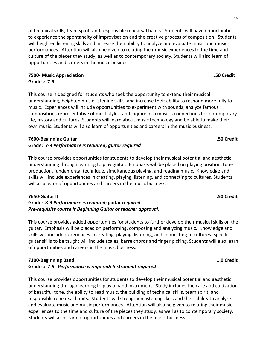15

### **7500- Music Appreciation .50 Credit Grades: 7-9**

This course is designed for students who seek the opportunity to extend their musical understanding, heighten music listening skills, and increase their ability to respond more fully to music. Experiences will include opportunities to experiment with sounds, analyze famous compositions representative of most styles, and inquire into music's connections to contemporary life, history and cultures. Students will learn about music technology and be able to make their own music. Students will also learn of opportunities and careers in the music business.

of technical skills, team spirit, and responsible rehearsal habits. Students will have opportunities

performances. Attention will also be given to relating their music experiences to the time and culture of the pieces they study, as well as to contemporary society. Students will also learn of

# **7600-Beginning Guitar .50 Credit Grade: 7-9** *Performance is required***;** *guitar required*

opportunities and careers in the music business.

This course provides opportunities for students to develop their musical potential and aesthetic understanding through learning to play guitar. Emphasis will be placed on playing position, tone production, fundamental technique, simultaneous playing, and reading music. Knowledge and skills will include experiences in creating, playing, listening, and connecting to cultures. Students will also learn of opportunities and careers in the music business.

# **7650-Guitar II .50 Credit**

# **Grade: 8-9** *Performance is required***; guitar** *required Pre-requisite course is Beginning Guitar or teacher approval***.**

This course provides added opportunities for students to further develop their musical skills on the guitar. Emphasis will be placed on performing, composing and analyzing music. Knowledge and skills will include experiences in creating, playing, listening, and connecting to cultures. Specific guitar skills to be taught will include scales, barre chords and finger picking. Students will also learn of opportunities and careers in the music business.

### **7300-Beginning Band 1.0 Credit Grades: 7-***9 Performance is required; Instrument required*

This course provides opportunities for students to develop their musical potential and aesthetic understanding through learning to play a band instrument. Study includes the care and cultivation of beautiful tone, the ability to read music, the building of technical skills, team spirit, and responsible rehearsal habits. Students will strengthen listening skills and their ability to analyze and evaluate music and music performances. Attention will also be given to relating their music experiences to the time and culture of the pieces they study, as well as to contemporary society. Students will also learn of opportunities and careers in the music business.